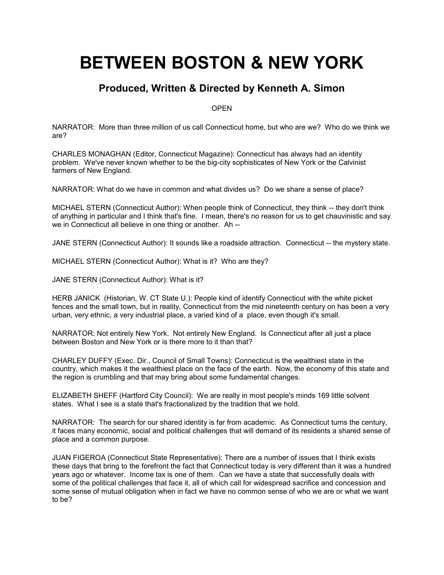# **BETWEEN BOSTON & NEW YORK**

# **Produced, Written & Directed by Kenneth A. Simon**

**OPEN** 

NARRATOR: More than three million of us call Connecticut home, but who are we? Who do we think we are?

CHARLES MONAGHAN (Editor, Connecticut Magazine): Connecticut has always had an identity problem. We've never known whether to be the big-city sophisticates of New York or the Calvinist farmers of New England.

NARRATOR: What do we have in common and what divides us? Do we share a sense of place?

MICHAEL STERN (Connecticut Author): When people think of Connecticut, they think -- they don't think of anything in particular and I think that's fine. I mean, there's no reason for us to get chauvinistic and say we in Connecticut all believe in one thing or another. Ah --

JANE STERN (Connecticut Author): It sounds like a roadside attraction. Connecticut -- the mystery state.

MICHAEL STERN (Connecticut Author): What is it? Who are they?

JANE STERN (Connecticut Author): What is it?

HERB JANICK (Historian, W. CT State U.): People kind of identify Connecticut with the white picket fences and the small town, but in reality, Connecticut from the mid nineteenth century on has been a very urban, very ethnic, a very industrial place, a varied kind of a place, even though it's small.

NARRATOR: Not entirely New York. Not entirely New England. Is Connecticut after all just a place between Boston and New York or is there more to it than that?

CHARLEY DUFFY (Exec. Dir., Council of Small Towns): Connecticut is the wealthiest state in the country, which makes it the wealthiest place on the face of the earth. Now, the economy of this state and the region is crumbling and that may bring about some fundamental changes.

ELIZABETH SHEFF (Hartford City Council): We are really in most people's minds 169 little solvent states. What I see is a state that's fractionalized by the tradition that we hold.

NARRATOR: The search for our shared identity is far from academic. As Connecticut turns the century, it faces many economic, social and political challenges that will demand of its residents a shared sense of place and a common purpose.

JUAN FIGEROA (Connecticut State Representative): There are a number of issues that I think exists these days that bring to the forefront the fact that Connecticut today is very different than it was a hundred years ago or whatever. Income tax is one of them. Can we have a state that successfully deals with some of the political challenges that face it, all of which call for widespread sacrifice and concession and some sense of mutual obligation when in fact we have no common sense of who we are or what we want to be?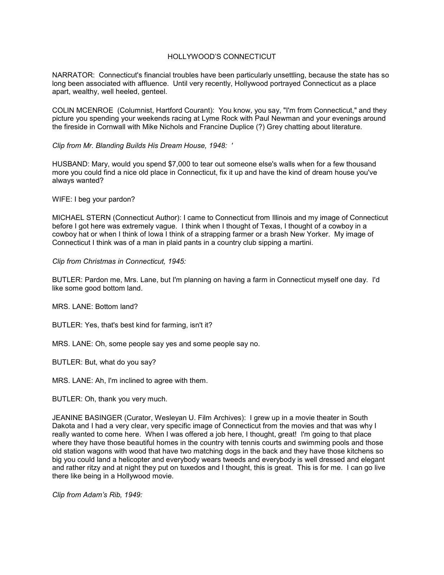#### HOLLYWOOD'S CONNECTICUT

NARRATOR: Connecticut's financial troubles have been particularly unsettling, because the state has so long been associated with affluence. Until very recently, Hollywood portrayed Connecticut as a place apart, wealthy, well heeled, genteel.

COLIN MCENROE (Columnist, Hartford Courant): You know, you say, "I'm from Connecticut," and they picture you spending your weekends racing at Lyme Rock with Paul Newman and your evenings around the fireside in Cornwall with Mike Nichols and Francine Duplice (?) Grey chatting about literature.

*Clip from Mr. Blanding Builds His Dream House, 1948: '*

HUSBAND: Mary, would you spend \$7,000 to tear out someone else's walls when for a few thousand more you could find a nice old place in Connecticut, fix it up and have the kind of dream house you've always wanted?

WIFE: I beg your pardon?

MICHAEL STERN (Connecticut Author): I came to Connecticut from Illinois and my image of Connecticut before I got here was extremely vague. I think when I thought of Texas, I thought of a cowboy in a cowboy hat or when I think of Iowa I think of a strapping farmer or a brash New Yorker. My image of Connecticut I think was of a man in plaid pants in a country club sipping a martini.

#### *Clip from Christmas in Connecticut, 1945:*

BUTLER: Pardon me, Mrs. Lane, but I'm planning on having a farm in Connecticut myself one day. I'd like some good bottom land.

MRS. LANE: Bottom land?

BUTLER: Yes, that's best kind for farming, isn't it?

MRS. LANE: Oh, some people say yes and some people say no.

BUTLER: But, what do you say?

MRS. LANE: Ah, I'm inclined to agree with them.

BUTLER: Oh, thank you very much.

JEANINE BASINGER (Curator, Wesleyan U. Film Archives): I grew up in a movie theater in South Dakota and I had a very clear, very specific image of Connecticut from the movies and that was why I really wanted to come here. When I was offered a job here, I thought, great! I'm going to that place where they have those beautiful homes in the country with tennis courts and swimming pools and those old station wagons with wood that have two matching dogs in the back and they have those kitchens so big you could land a helicopter and everybody wears tweeds and everybody is well dressed and elegant and rather ritzy and at night they put on tuxedos and I thought, this is great. This is for me. I can go live there like being in a Hollywood movie.

*Clip from Adam's Rib, 1949:*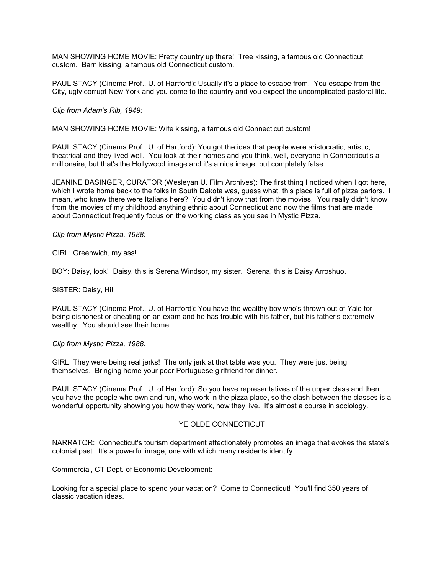MAN SHOWING HOME MOVIE: Pretty country up there! Tree kissing, a famous old Connecticut custom. Barn kissing, a famous old Connecticut custom.

PAUL STACY (Cinema Prof., U. of Hartford): Usually it's a place to escape from. You escape from the City, ugly corrupt New York and you come to the country and you expect the uncomplicated pastoral life.

*Clip from Adam's Rib, 1949:*

MAN SHOWING HOME MOVIE: Wife kissing, a famous old Connecticut custom!

PAUL STACY (Cinema Prof., U. of Hartford): You got the idea that people were aristocratic, artistic, theatrical and they lived well. You look at their homes and you think, well, everyone in Connecticut's a millionaire, but that's the Hollywood image and it's a nice image, but completely false.

JEANINE BASINGER, CURATOR (Wesleyan U. Film Archives): The first thing I noticed when I got here, which I wrote home back to the folks in South Dakota was, guess what, this place is full of pizza parlors. I mean, who knew there were Italians here? You didn't know that from the movies. You really didn't know from the movies of my childhood anything ethnic about Connecticut and now the films that are made about Connecticut frequently focus on the working class as you see in Mystic Pizza.

*Clip from Mystic Pizza, 1988:*

GIRL: Greenwich, my ass!

BOY: Daisy, look! Daisy, this is Serena Windsor, my sister. Serena, this is Daisy Arroshuo.

SISTER: Daisy, Hi!

PAUL STACY (Cinema Prof., U. of Hartford): You have the wealthy boy who's thrown out of Yale for being dishonest or cheating on an exam and he has trouble with his father, but his father's extremely wealthy. You should see their home.

*Clip from Mystic Pizza, 1988:*

GIRL: They were being real jerks! The only jerk at that table was you. They were just being themselves. Bringing home your poor Portuguese girlfriend for dinner.

PAUL STACY (Cinema Prof., U. of Hartford): So you have representatives of the upper class and then you have the people who own and run, who work in the pizza place, so the clash between the classes is a wonderful opportunity showing you how they work, how they live. It's almost a course in sociology.

#### YE OLDE CONNECTICUT

NARRATOR: Connecticut's tourism department affectionately promotes an image that evokes the state's colonial past. It's a powerful image, one with which many residents identify.

Commercial, CT Dept. of Economic Development:

Looking for a special place to spend your vacation? Come to Connecticut! You'll find 350 years of classic vacation ideas.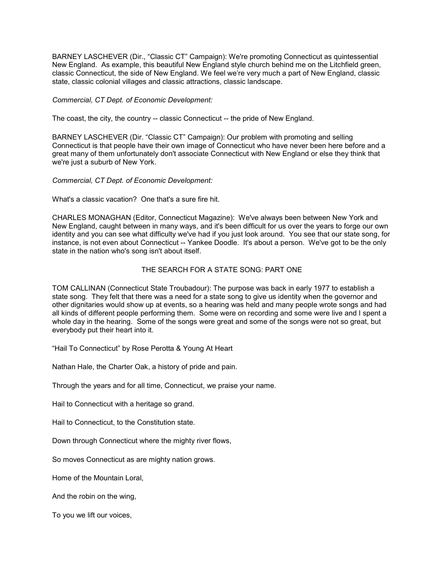BARNEY LASCHEVER (Dir., "Classic CT" Campaign): We're promoting Connecticut as quintessential New England. As example, this beautiful New England style church behind me on the Litchfield green, classic Connecticut, the side of New England. We feel we're very much a part of New England, classic state, classic colonial villages and classic attractions, classic landscape.

*Commercial, CT Dept. of Economic Development:*

The coast, the city, the country -- classic Connecticut -- the pride of New England.

BARNEY LASCHEVER (Dir. "Classic CT" Campaign): Our problem with promoting and selling Connecticut is that people have their own image of Connecticut who have never been here before and a great many of them unfortunately don't associate Connecticut with New England or else they think that we're just a suburb of New York.

*Commercial, CT Dept. of Economic Development:*

What's a classic vacation? One that's a sure fire hit.

CHARLES MONAGHAN (Editor, Connecticut Magazine): We've always been between New York and New England, caught between in many ways, and it's been difficult for us over the years to forge our own identity and you can see what difficulty we've had if you just look around. You see that our state song, for instance, is not even about Connecticut -- Yankee Doodle. It's about a person. We've got to be the only state in the nation who's song isn't about itself.

#### THE SEARCH FOR A STATE SONG: PART ONE

TOM CALLINAN (Connecticut State Troubadour): The purpose was back in early 1977 to establish a state song. They felt that there was a need for a state song to give us identity when the governor and other dignitaries would show up at events, so a hearing was held and many people wrote songs and had all kinds of different people performing them. Some were on recording and some were live and I spent a whole day in the hearing. Some of the songs were great and some of the songs were not so great, but everybody put their heart into it.

"Hail To Connecticut" by Rose Perotta & Young At Heart

Nathan Hale, the Charter Oak, a history of pride and pain.

Through the years and for all time, Connecticut, we praise your name.

Hail to Connecticut with a heritage so grand.

Hail to Connecticut, to the Constitution state.

Down through Connecticut where the mighty river flows,

So moves Connecticut as are mighty nation grows.

Home of the Mountain Loral,

And the robin on the wing,

To you we lift our voices,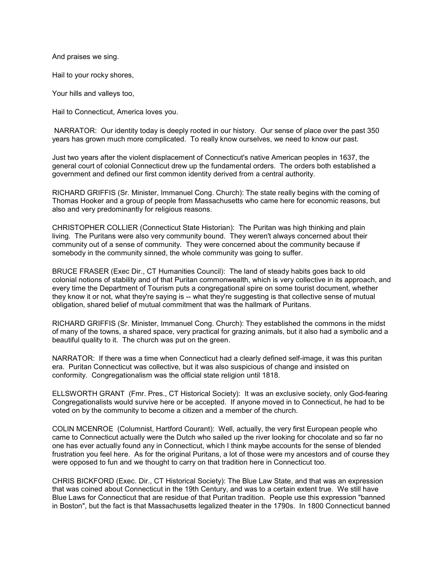And praises we sing.

Hail to your rocky shores,

Your hills and valleys too,

Hail to Connecticut, America loves you.

NARRATOR: Our identity today is deeply rooted in our history. Our sense of place over the past 350 years has grown much more complicated. To really know ourselves, we need to know our past.

Just two years after the violent displacement of Connecticut's native American peoples in 1637, the general court of colonial Connecticut drew up the fundamental orders. The orders both established a government and defined our first common identity derived from a central authority.

RICHARD GRIFFIS (Sr. Minister, Immanuel Cong. Church): The state really begins with the coming of Thomas Hooker and a group of people from Massachusetts who came here for economic reasons, but also and very predominantly for religious reasons.

CHRISTOPHER COLLIER (Connecticut State Historian): The Puritan was high thinking and plain living. The Puritans were also very community bound. They weren't always concerned about their community out of a sense of community. They were concerned about the community because if somebody in the community sinned, the whole community was going to suffer.

BRUCE FRASER (Exec Dir., CT Humanities Council): The land of steady habits goes back to old colonial notions of stability and of that Puritan commonwealth, which is very collective in its approach, and every time the Department of Tourism puts a congregational spire on some tourist document, whether they know it or not, what they're saying is -- what they're suggesting is that collective sense of mutual obligation, shared belief of mutual commitment that was the hallmark of Puritans.

RICHARD GRIFFIS (Sr. Minister, Immanuel Cong. Church): They established the commons in the midst of many of the towns, a shared space, very practical for grazing animals, but it also had a symbolic and a beautiful quality to it. The church was put on the green.

NARRATOR: If there was a time when Connecticut had a clearly defined self-image, it was this puritan era. Puritan Connecticut was collective, but it was also suspicious of change and insisted on conformity. Congregationalism was the official state religion until 1818.

ELLSWORTH GRANT (Fmr. Pres., CT Historical Society): It was an exclusive society, only God-fearing Congregationalists would survive here or be accepted. If anyone moved in to Connecticut, he had to be voted on by the community to become a citizen and a member of the church.

COLIN MCENROE (Columnist, Hartford Courant): Well, actually, the very first European people who came to Connecticut actually were the Dutch who sailed up the river looking for chocolate and so far no one has ever actually found any in Connecticut, which I think maybe accounts for the sense of blended frustration you feel here. As for the original Puritans, a lot of those were my ancestors and of course they were opposed to fun and we thought to carry on that tradition here in Connecticut too.

CHRIS BICKFORD (Exec. Dir., CT Historical Society): The Blue Law State, and that was an expression that was coined about Connecticut in the 19th Century, and was to a certain extent true. We still have Blue Laws for Connecticut that are residue of that Puritan tradition. People use this expression "banned in Boston", but the fact is that Massachusetts legalized theater in the 1790s. In 1800 Connecticut banned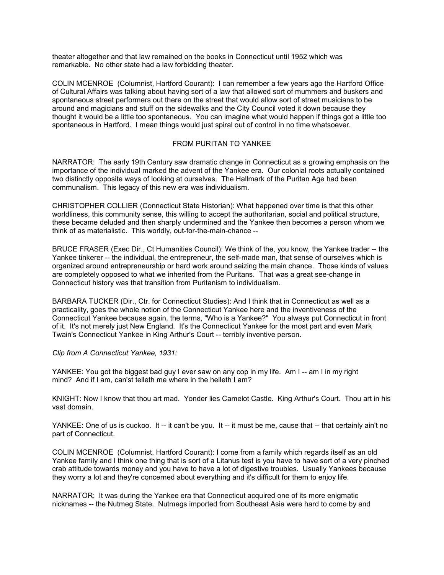theater altogether and that law remained on the books in Connecticut until 1952 which was remarkable. No other state had a law forbidding theater.

COLIN MCENROE (Columnist, Hartford Courant): I can remember a few years ago the Hartford Office of Cultural Affairs was talking about having sort of a law that allowed sort of mummers and buskers and spontaneous street performers out there on the street that would allow sort of street musicians to be around and magicians and stuff on the sidewalks and the City Council voted it down because they thought it would be a little too spontaneous. You can imagine what would happen if things got a little too spontaneous in Hartford. I mean things would just spiral out of control in no time whatsoever.

#### FROM PURITAN TO YANKEE

NARRATOR: The early 19th Century saw dramatic change in Connecticut as a growing emphasis on the importance of the individual marked the advent of the Yankee era. Our colonial roots actually contained two distinctly opposite ways of looking at ourselves. The Hallmark of the Puritan Age had been communalism. This legacy of this new era was individualism.

CHRISTOPHER COLLIER (Connecticut State Historian): What happened over time is that this other worldliness, this community sense, this willing to accept the authoritarian, social and political structure, these became deluded and then sharply undermined and the Yankee then becomes a person whom we think of as materialistic. This worldly, out-for-the-main-chance --

BRUCE FRASER (Exec Dir., Ct Humanities Council): We think of the, you know, the Yankee trader -- the Yankee tinkerer -- the individual, the entrepreneur, the self-made man, that sense of ourselves which is organized around entrepreneurship or hard work around seizing the main chance. Those kinds of values are completely opposed to what we inherited from the Puritans. That was a great see-change in Connecticut history was that transition from Puritanism to individualism.

BARBARA TUCKER (Dir., Ctr. for Connecticut Studies): And I think that in Connecticut as well as a practicality, goes the whole notion of the Connecticut Yankee here and the inventiveness of the Connecticut Yankee because again, the terms, "Who is a Yankee?" You always put Connecticut in front of it. It's not merely just New England. It's the Connecticut Yankee for the most part and even Mark Twain's Connecticut Yankee in King Arthur's Court -- terribly inventive person.

*Clip from A Connecticut Yankee, 1931:*

YANKEE: You got the biggest bad guy I ever saw on any cop in my life. Am I -- am I in my right mind? And if I am, can'st telleth me where in the helleth I am?

KNIGHT: Now I know that thou art mad. Yonder lies Camelot Castle. King Arthur's Court. Thou art in his vast domain.

YANKEE: One of us is cuckoo. It -- it can't be you. It -- it must be me, cause that -- that certainly ain't no part of Connecticut.

COLIN MCENROE (Columnist, Hartford Courant): I come from a family which regards itself as an old Yankee family and I think one thing that is sort of a Litanus test is you have to have sort of a very pinched crab attitude towards money and you have to have a lot of digestive troubles. Usually Yankees because they worry a lot and they're concerned about everything and it's difficult for them to enjoy life.

NARRATOR: It was during the Yankee era that Connecticut acquired one of its more enigmatic nicknames -- the Nutmeg State. Nutmegs imported from Southeast Asia were hard to come by and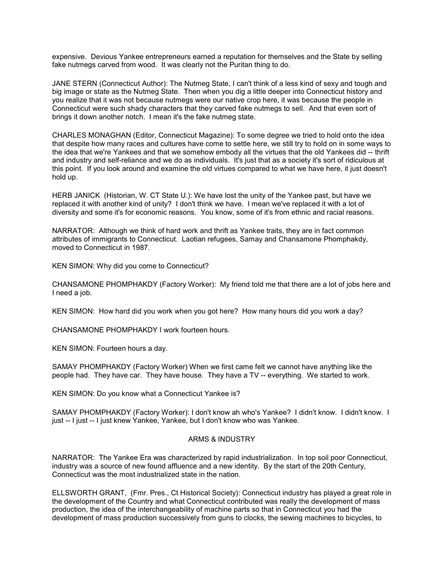expensive. Devious Yankee entrepreneurs earned a reputation for themselves and the State by selling fake nutmegs carved from wood. It was clearly not the Puritan thing to do.

JANE STERN (Connecticut Author): The Nutmeg State, I can't think of a less kind of sexy and tough and big image or state as the Nutmeg State. Then when you dig a little deeper into Connecticut history and you realize that it was not because nutmegs were our native crop here, it was because the people in Connecticut were such shady characters that they carved fake nutmegs to sell. And that even sort of brings it down another notch. I mean it's the fake nutmeg state.

CHARLES MONAGHAN (Editor, Connecticut Magazine): To some degree we tried to hold onto the idea that despite how many races and cultures have come to settle here, we still try to hold on in some ways to the idea that we're Yankees and that we somehow embody all the virtues that the old Yankees did -- thrift and industry and self-reliance and we do as individuals. It's just that as a society it's sort of ridiculous at this point. If you look around and examine the old virtues compared to what we have here, it just doesn't hold up.

HERB JANICK (Historian, W. CT State U.): We have lost the unity of the Yankee past, but have we replaced it with another kind of unity? I don't think we have. I mean we've replaced it with a lot of diversity and some it's for economic reasons. You know, some of it's from ethnic and racial reasons.

NARRATOR: Although we think of hard work and thrift as Yankee traits, they are in fact common attributes of immigrants to Connecticut. Laotian refugees, Samay and Chansamone Phomphakdy, moved to Connecticut in 1987.

KEN SIMON: Why did you come to Connecticut?

CHANSAMONE PHOMPHAKDY (Factory Worker): My friend told me that there are a lot of jobs here and I need a job.

KEN SIMON: How hard did you work when you got here? How many hours did you work a day?

CHANSAMONE PHOMPHAKDY I work fourteen hours.

KEN SIMON: Fourteen hours a day.

SAMAY PHOMPHAKDY (Factory Worker) When we first came felt we cannot have anything like the people had. They have car. They have house. They have a TV -- everything. We started to work.

KEN SIMON: Do you know what a Connecticut Yankee is?

SAMAY PHOMPHAKDY (Factory Worker): I don't know ah who's Yankee? I didn't know. I didn't know. I just -- I just -- I just knew Yankee, Yankee, but I don't know who was Yankee.

#### ARMS & INDUSTRY

NARRATOR: The Yankee Era was characterized by rapid industrialization. In top soil poor Connecticut, industry was a source of new found affluence and a new identity. By the start of the 20th Century, Connecticut was the most industrialized state in the nation.

ELLSWORTH GRANT, (Fmr. Pres., Ct Historical Society): Connecticut industry has played a great role in the development of the Country and what Connecticut contributed was really the development of mass production, the idea of the interchangeability of machine parts so that in Connecticut you had the development of mass production successively from guns to clocks, the sewing machines to bicycles, to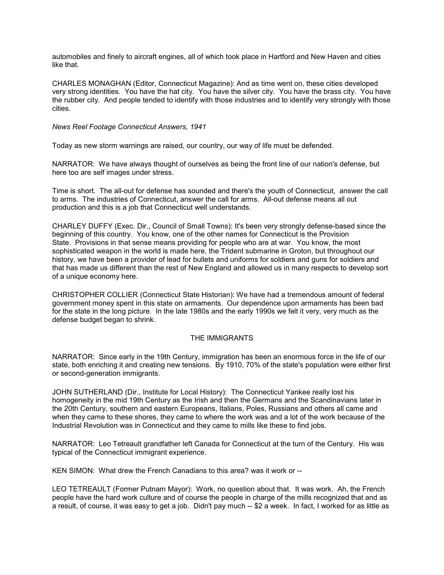automobiles and finely to aircraft engines, all of which took place in Hartford and New Haven and cities like that.

CHARLES MONAGHAN (Editor, Connecticut Magazine): And as time went on, these cities developed very strong identities. You have the hat city. You have the silver city. You have the brass city. You have the rubber city. And people tended to identify with those industries and to identify very strongly with those cities.

*News Reel Footage Connecticut Answers, 1941*

Today as new storm warnings are raised, our country, our way of life must be defended.

NARRATOR: We have always thought of ourselves as being the front line of our nation's defense, but here too are self images under stress.

Time is short. The all-out for defense has sounded and there's the youth of Connecticut, answer the call to arms. The industries of Connecticut, answer the call for arms. All-out defense means all out production and this is a job that Connecticut well understands.

CHARLEY DUFFY (Exec. Dir., Council of Small Towns): It's been very strongly defense-based since the beginning of this country. You know, one of the other names for Connecticut is the Provision State. Provisions in that sense means providing for people who are at war. You know, the most sophisticated weapon in the world is made here, the Trident submarine in Groton, but throughout our history, we have been a provider of lead for bullets and uniforms for soldiers and guns for soldiers and that has made us different than the rest of New England and allowed us in many respects to develop sort of a unique economy here.

CHRISTOPHER COLLIER (Connecticut State Historian): We have had a tremendous amount of federal government money spent in this state on armaments. Our dependence upon armaments has been bad for the state in the long picture. In the late 1980s and the early 1990s we felt it very, very much as the defense budget began to shrink.

#### THE IMMIGRANTS

NARRATOR: Since early in the 19th Century, immigration has been an enormous force in the life of our state, both enriching it and creating new tensions. By 1910, 70% of the state's population were either first or second-generation immigrants.

JOHN SUTHERLAND (Dir., Institute for Local History): The Connecticut Yankee really lost his homogeneity in the mid 19th Century as the Irish and then the Germans and the Scandinavians later in the 20th Century, southern and eastern Europeans, Italians, Poles, Russians and others all came and when they came to these shores, they came to where the work was and a lot of the work because of the Industrial Revolution was in Connecticut and they came to mills like these to find jobs.

NARRATOR: Leo Tetreault grandfather left Canada for Connecticut at the turn of the Century. His was typical of the Connecticut immigrant experience.

KEN SIMON: What drew the French Canadians to this area? was it work or --

LEO TETREAULT (Former Putnam Mayor): Work, no question about that. It was work. Ah, the French people have the hard work culture and of course the people in charge of the mills recognized that and as a result, of course, it was easy to get a job. Didn't pay much -- \$2 a week. In fact, I worked for as little as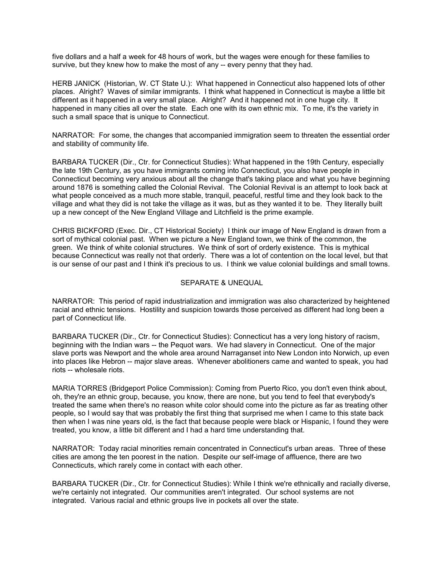five dollars and a half a week for 48 hours of work, but the wages were enough for these families to survive, but they knew how to make the most of any -- every penny that they had.

HERB JANICK (Historian, W. CT State U.): What happened in Connecticut also happened lots of other places. Alright? Waves of similar immigrants. I think what happened in Connecticut is maybe a little bit different as it happened in a very small place. Alright? And it happened not in one huge city. It happened in many cities all over the state. Each one with its own ethnic mix. To me, it's the variety in such a small space that is unique to Connecticut.

NARRATOR: For some, the changes that accompanied immigration seem to threaten the essential order and stability of community life.

BARBARA TUCKER (Dir., Ctr. for Connecticut Studies): What happened in the 19th Century, especially the late 19th Century, as you have immigrants coming into Connecticut, you also have people in Connecticut becoming very anxious about all the change that's taking place and what you have beginning around 1876 is something called the Colonial Revival. The Colonial Revival is an attempt to look back at what people conceived as a much more stable, tranquil, peaceful, restful time and they look back to the village and what they did is not take the village as it was, but as they wanted it to be. They literally built up a new concept of the New England Village and Litchfield is the prime example.

CHRIS BICKFORD (Exec. Dir., CT Historical Society) I think our image of New England is drawn from a sort of mythical colonial past. When we picture a New England town, we think of the common, the green. We think of white colonial structures. We think of sort of orderly existence. This is mythical because Connecticut was really not that orderly. There was a lot of contention on the local level, but that is our sense of our past and I think it's precious to us. I think we value colonial buildings and small towns.

#### SEPARATE & UNEQUAL

NARRATOR: This period of rapid industrialization and immigration was also characterized by heightened racial and ethnic tensions. Hostility and suspicion towards those perceived as different had long been a part of Connecticut life.

BARBARA TUCKER (Dir., Ctr. for Connecticut Studies): Connecticut has a very long history of racism, beginning with the Indian wars -- the Pequot wars. We had slavery in Connecticut. One of the major slave ports was Newport and the whole area around Narraganset into New London into Norwich, up even into places like Hebron -- major slave areas. Whenever abolitioners came and wanted to speak, you had riots -- wholesale riots.

MARIA TORRES (Bridgeport Police Commission): Coming from Puerto Rico, you don't even think about, oh, they're an ethnic group, because, you know, there are none, but you tend to feel that everybody's treated the same when there's no reason white color should come into the picture as far as treating other people, so I would say that was probably the first thing that surprised me when I came to this state back then when I was nine years old, is the fact that because people were black or Hispanic, I found they were treated, you know, a little bit different and I had a hard time understanding that.

NARRATOR: Today racial minorities remain concentrated in Connecticut's urban areas. Three of these cities are among the ten poorest in the nation. Despite our self-image of affluence, there are two Connecticuts, which rarely come in contact with each other.

BARBARA TUCKER (Dir., Ctr. for Connecticut Studies): While I think we're ethnically and racially diverse, we're certainly not integrated. Our communities aren't integrated. Our school systems are not integrated. Various racial and ethnic groups live in pockets all over the state.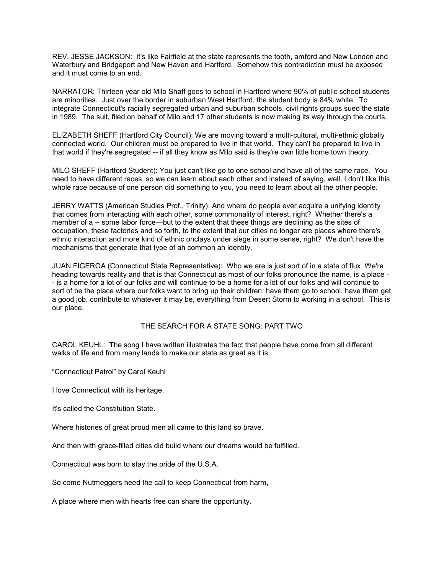REV. JESSE JACKSON: It's like Fairfield at the state represents the tooth, amford and New London and Waterbury and Bridgeport and New Haven and Hartford. Somehow this contradiction must be exposed and it must come to an end.

NARRATOR: Thirteen year old Milo Shaff goes to school in Hartford where 90% of public school students are minorities. Just over the border in suburban West Hartford, the student body is 84% white. To integrate Connecticut's racially segregated urban and suburban schools, civil rights groups sued the state in 1989. The suit, filed on behalf of Milo and 17 other students is now making its way through the courts.

ELIZABETH SHEFF (Hartford City Council): We are moving toward a multi-cultural, multi-ethnic globally connected world. Our children must be prepared to live in that world. They can't be prepared to live in that world if they're segregated -- if all they know as Milo said is they're own little home town theory.

MILO SHEFF (Hartford Student): You just can't like go to one school and have all of the same race. You need to have different races, so we can learn about each other and instead of saying, well, I don't like this whole race because of one person did something to you, you need to learn about all the other people.

JERRY WATTS (American Studies Prof., Trinity): And where do people ever acquire a unifying identity that comes from interacting with each other, some commonality of interest, right? Whether there's a member of a -- some labor force—but to the extent that these things are declining as the sites of occupation, these factories and so forth, to the extent that our cities no longer are places where there's ethnic interaction and more kind of ethnic onclays under siege in some sense, right? We don't have the mechanisms that generate that type of ah common ah identity.

JUAN FIGEROA (Connecticut State Representative): Who we are is just sort of in a state of flux We're heading towards reality and that is that Connecticut as most of our folks pronounce the name, is a place - - is a home for a lot of our folks and will continue to be a home for a lot of our folks and will continue to sort of be the place where our folks want to bring up their children, have them go to school, have them get a good job, contribute to whatever it may be, everything from Desert Storm to working in a school. This is our place.

THE SEARCH FOR A STATE SONG: PART TWO

CAROL KEUHL: The song I have written illustrates the fact that people have come from all different walks of life and from many lands to make our state as great as it is.

"Connecticut Patrol" by Carol Keuhl

I love Connecticut with its heritage,

It's called the Constitution State.

Where histories of great proud men all came to this land so brave.

And then with grace-filled cities did build where our dreams would be fulfilled.

Connecticut was born to stay the pride of the U.S.A.

So come Nutmeggers heed the call to keep Connecticut from harm,

A place where men with hearts free can share the opportunity.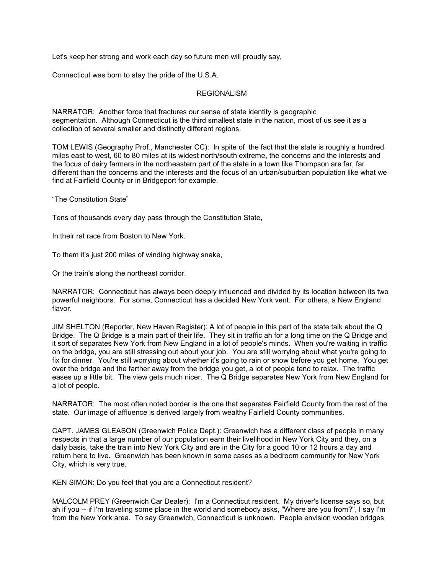Let's keep her strong and work each day so future men will proudly say,

Connecticut was born to stay the pride of the U.S.A.

#### REGIONALISM

NARRATOR: Another force that fractures our sense of state identity is geographic segmentation. Although Connecticut is the third smallest state in the nation, most of us see it as a collection of several smaller and distinctly different regions.

TOM LEWIS (Geography Prof., Manchester CC): In spite of the fact that the state is roughly a hundred miles east to west, 60 to 80 miles at its widest north/south extreme, the concerns and the interests and the focus of dairy farmers in the northeastern part of the state in a town like Thompson are far, far different than the concerns and the interests and the focus of an urban/suburban population like what we find at Fairfield County or in Bridgeport for example.

"The Constitution State"

Tens of thousands every day pass through the Constitution State,

In their rat race from Boston to New York.

To them it's just 200 miles of winding highway snake,

Or the train's along the northeast corridor.

NARRATOR: Connecticut has always been deeply influenced and divided by its location between its two powerful neighbors. For some, Connecticut has a decided New York vent. For others, a New England flavor.

JIM SHELTON (Reporter, New Haven Register): A lot of people in this part of the state talk about the Q Bridge. The Q Bridge is a main part of their life. They sit in traffic ah for a long time on the Q Bridge and it sort of separates New York from New England in a lot of people's minds. When you're waiting in traffic on the bridge, you are still stressing out about your job. You are still worrying about what you're going to fix for dinner. You're still worrying about whether it's going to rain or snow before you get home. You get over the bridge and the farther away from the bridge you get, a lot of people tend to relax. The traffic eases up a little bit. The view gets much nicer. The Q Bridge separates New York from New England for a lot of people.

NARRATOR: The most often noted border is the one that separates Fairfield County from the rest of the state. Our image of affluence is derived largely from wealthy Fairfield County communities.

CAPT. JAMES GLEASON (Greenwich Police Dept.): Greenwich has a different class of people in many respects in that a large number of our population earn their livelihood in New York City and they, on a daily basis, take the train into New York City and are in the City for a good 10 or 12 hours a day and return here to live. Greenwich has been known in some cases as a bedroom community for New York City, which is very true.

KEN SIMON: Do you feel that you are a Connecticut resident?

MALCOLM PREY (Greenwich Car Dealer): I'm a Connecticut resident. My driver's license says so, but ah if you -- if I'm traveling some place in the world and somebody asks, "Where are you from?", I say I'm from the New York area. To say Greenwich, Connecticut is unknown. People envision wooden bridges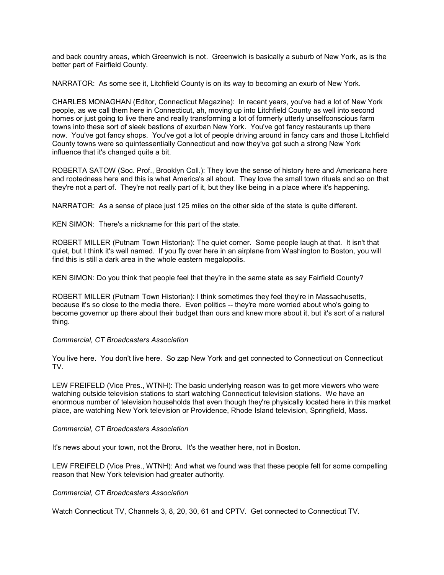and back country areas, which Greenwich is not. Greenwich is basically a suburb of New York, as is the better part of Fairfield County.

NARRATOR: As some see it, Litchfield County is on its way to becoming an exurb of New York.

CHARLES MONAGHAN (Editor, Connecticut Magazine): In recent years, you've had a lot of New York people, as we call them here in Connecticut, ah, moving up into Litchfield County as well into second homes or just going to live there and really transforming a lot of formerly utterly unselfconscious farm towns into these sort of sleek bastions of exurban New York. You've got fancy restaurants up there now. You've got fancy shops. You've got a lot of people driving around in fancy cars and those Litchfield County towns were so quintessentially Connecticut and now they've got such a strong New York influence that it's changed quite a bit.

ROBERTA SATOW (Soc. Prof., Brooklyn Coll.): They love the sense of history here and Americana here and rootedness here and this is what America's all about. They love the small town rituals and so on that they're not a part of. They're not really part of it, but they like being in a place where it's happening.

NARRATOR: As a sense of place just 125 miles on the other side of the state is quite different.

KEN SIMON: There's a nickname for this part of the state.

ROBERT MILLER (Putnam Town Historian): The quiet corner. Some people laugh at that. It isn't that quiet, but I think it's well named. If you fly over here in an airplane from Washington to Boston, you will find this is still a dark area in the whole eastern megalopolis.

KEN SIMON: Do you think that people feel that they're in the same state as say Fairfield County?

ROBERT MILLER (Putnam Town Historian): I think sometimes they feel they're in Massachusetts, because it's so close to the media there. Even politics -- they're more worried about who's going to become governor up there about their budget than ours and knew more about it, but it's sort of a natural thing.

#### *Commercial, CT Broadcasters Association*

You live here. You don't live here. So zap New York and get connected to Connecticut on Connecticut TV.

LEW FREIFELD (Vice Pres., WTNH): The basic underlying reason was to get more viewers who were watching outside television stations to start watching Connecticut television stations. We have an enormous number of television households that even though they're physically located here in this market place, are watching New York television or Providence, Rhode Island television, Springfield, Mass.

#### *Commercial, CT Broadcasters Association*

It's news about your town, not the Bronx. It's the weather here, not in Boston.

LEW FREIFELD (Vice Pres., WTNH): And what we found was that these people felt for some compelling reason that New York television had greater authority.

*Commercial, CT Broadcasters Association*

Watch Connecticut TV, Channels 3, 8, 20, 30, 61 and CPTV. Get connected to Connecticut TV.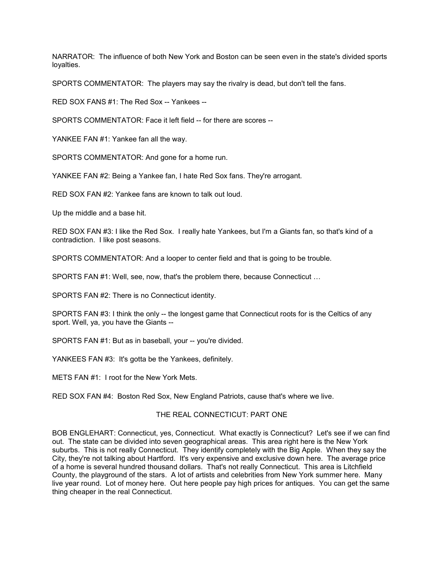NARRATOR: The influence of both New York and Boston can be seen even in the state's divided sports loyalties.

SPORTS COMMENTATOR: The players may say the rivalry is dead, but don't tell the fans.

RED SOX FANS #1: The Red Sox -- Yankees --

SPORTS COMMENTATOR: Face it left field -- for there are scores --

YANKEE FAN #1: Yankee fan all the way.

SPORTS COMMENTATOR: And gone for a home run.

YANKEE FAN #2: Being a Yankee fan, I hate Red Sox fans. They're arrogant.

RED SOX FAN #2: Yankee fans are known to talk out loud.

Up the middle and a base hit.

RED SOX FAN #3: I like the Red Sox. I really hate Yankees, but I'm a Giants fan, so that's kind of a contradiction. I like post seasons.

SPORTS COMMENTATOR: And a looper to center field and that is going to be trouble.

SPORTS FAN #1: Well, see, now, that's the problem there, because Connecticut …

SPORTS FAN #2: There is no Connecticut identity.

SPORTS FAN #3: I think the only -- the longest game that Connecticut roots for is the Celtics of any sport. Well, ya, you have the Giants --

SPORTS FAN #1: But as in baseball, your -- you're divided.

YANKEES FAN #3: It's gotta be the Yankees, definitely.

METS FAN #1: I root for the New York Mets.

RED SOX FAN #4: Boston Red Sox, New England Patriots, cause that's where we live.

#### THE REAL CONNECTICUT: PART ONE

BOB ENGLEHART: Connecticut, yes, Connecticut. What exactly is Connecticut? Let's see if we can find out. The state can be divided into seven geographical areas. This area right here is the New York suburbs. This is not really Connecticut. They identify completely with the Big Apple. When they say the City, they're not talking about Hartford. It's very expensive and exclusive down here. The average price of a home is several hundred thousand dollars. That's not really Connecticut. This area is Litchfield County, the playground of the stars. A lot of artists and celebrities from New York summer here. Many live year round. Lot of money here. Out here people pay high prices for antiques. You can get the same thing cheaper in the real Connecticut.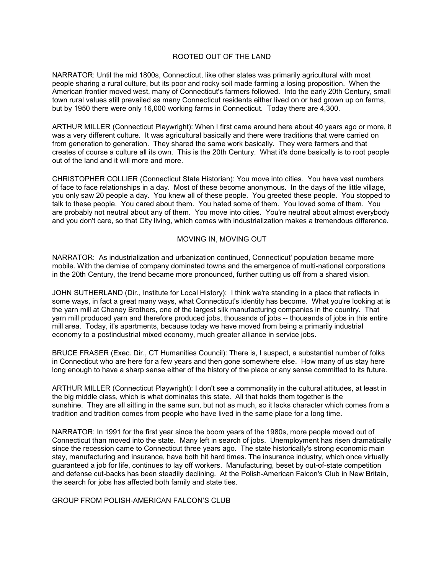#### ROOTED OUT OF THE LAND

NARRATOR: Until the mid 1800s, Connecticut, like other states was primarily agricultural with most people sharing a rural culture, but its poor and rocky soil made farming a losing proposition. When the American frontier moved west, many of Connecticut's farmers followed. Into the early 20th Century, small town rural values still prevailed as many Connecticut residents either lived on or had grown up on farms, but by 1950 there were only 16,000 working farms in Connecticut. Today there are 4,300.

ARTHUR MILLER (Connecticut Playwright): When I first came around here about 40 years ago or more, it was a very different culture. It was agricultural basically and there were traditions that were carried on from generation to generation. They shared the same work basically. They were farmers and that creates of course a culture all its own. This is the 20th Century. What it's done basically is to root people out of the land and it will more and more.

CHRISTOPHER COLLIER (Connecticut State Historian): You move into cities. You have vast numbers of face to face relationships in a day. Most of these become anonymous. In the days of the little village, you only saw 20 people a day. You knew all of these people. You greeted these people. You stopped to talk to these people. You cared about them. You hated some of them. You loved some of them. You are probably not neutral about any of them. You move into cities. You're neutral about almost everybody and you don't care, so that City living, which comes with industrialization makes a tremendous difference.

#### MOVING IN, MOVING OUT

NARRATOR: As industrialization and urbanization continued, Connecticut' population became more mobile. With the demise of company dominated towns and the emergence of multi-national corporations in the 20th Century, the trend became more pronounced, further cutting us off from a shared vision.

JOHN SUTHERLAND (Dir., Institute for Local History): I think we're standing in a place that reflects in some ways, in fact a great many ways, what Connecticut's identity has become. What you're looking at is the yarn mill at Cheney Brothers, one of the largest silk manufacturing companies in the country. That yarn mill produced yarn and therefore produced jobs, thousands of jobs -- thousands of jobs in this entire mill area. Today, it's apartments, because today we have moved from being a primarily industrial economy to a postindustrial mixed economy, much greater alliance in service jobs.

BRUCE FRASER (Exec. Dir., CT Humanities Council): There is, I suspect, a substantial number of folks in Connecticut who are here for a few years and then gone somewhere else. How many of us stay here long enough to have a sharp sense either of the history of the place or any sense committed to its future.

ARTHUR MILLER (Connecticut Playwright): I don't see a commonality in the cultural attitudes, at least in the big middle class, which is what dominates this state. All that holds them together is the sunshine. They are all sitting in the same sun, but not as much, so it lacks character which comes from a tradition and tradition comes from people who have lived in the same place for a long time.

NARRATOR: In 1991 for the first year since the boom years of the 1980s, more people moved out of Connecticut than moved into the state. Many left in search of jobs. Unemployment has risen dramatically since the recession came to Connecticut three years ago. The state historically's strong economic main stay, manufacturing and insurance, have both hit hard times. The insurance industry, which once virtually guaranteed a job for life, continues to lay off workers. Manufacturing, beset by out-of-state competition and defense cut-backs has been steadily declining. At the Polish-American Falcon's Club in New Britain, the search for jobs has affected both family and state ties.

GROUP FROM POLISH-AMERICAN FALCON'S CLUB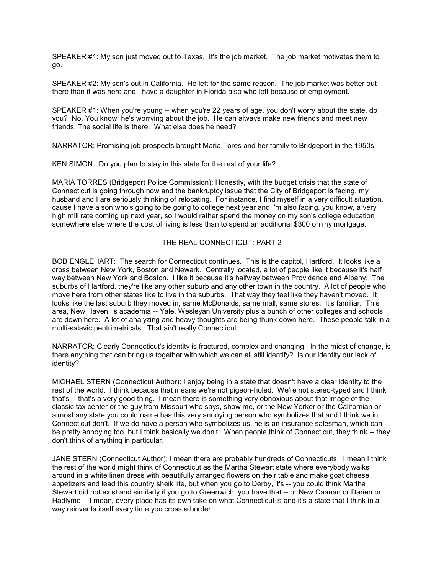SPEAKER #1: My son just moved out to Texas. It's the job market. The job market motivates them to go.

SPEAKER #2: My son's out in California. He left for the same reason. The job market was better out there than it was here and I have a daughter in Florida also who left because of employment.

SPEAKER #1: When you're young -- when you're 22 years of age, you don't worry about the state, do you? No. You know, he's worrying about the job. He can always make new friends and meet new friends. The social life is there. What else does he need?

NARRATOR: Promising job prospects brought Maria Tores and her family to Bridgeport in the 1950s.

KEN SIMON: Do you plan to stay in this state for the rest of your life?

MARIA TORRES (Bridgeport Police Commission): Honestly, with the budget crisis that the state of Connecticut is going through now and the bankruptcy issue that the City of Bridgeport is facing, my husband and I are seriously thinking of relocating. For instance, I find myself in a very difficult situation, cause I have a son who's going to be going to college next year and I'm also facing, you know, a very high mill rate coming up next year, so I would rather spend the money on my son's college education somewhere else where the cost of living is less than to spend an additional \$300 on my mortgage.

#### THE REAL CONNECTICUT: PART 2

BOB ENGLEHART: The search for Connecticut continues. This is the capitol, Hartford. It looks like a cross between New York, Boston and Newark. Centrally located, a lot of people like it because it's half way between New York and Boston. I like it because it's halfway between Providence and Albany. The suburbs of Hartford, they're like any other suburb and any other town in the country. A lot of people who move here from other states like to live in the suburbs. That way they feel like they haven't moved. It looks like the last suburb they moved in, same McDonalds, same mall, same stores. It's familiar. This area, New Haven, is academia -- Yale, Wesleyan University plus a bunch of other colleges and schools are down here. A lot of analyzing and heavy thoughts are being thunk down here. These people talk in a multi-salavic pentrimetricals. That ain't really Connecticut.

NARRATOR: Clearly Connecticut's identity is fractured, complex and changing. In the midst of change, is there anything that can bring us together with which we can all still identify? Is our identity our lack of identity?

MICHAEL STERN (Connecticut Author): I enjoy being in a state that doesn't have a clear identity to the rest of the world. I think because that means we're not pigeon-holed. We're not stereo-typed and I think that's -- that's a very good thing. I mean there is something very obnoxious about that image of the classic tax center or the guy from Missouri who says, show me, or the New Yorker or the Californian or almost any state you could name has this very annoying person who symbolizes that and I think we in Connecticut don't. If we do have a person who symbolizes us, he is an insurance salesman, which can be pretty annoying too, but I think basically we don't. When people think of Connecticut, they think -- they don't think of anything in particular.

JANE STERN (Connecticut Author): I mean there are probably hundreds of Connecticuts. I mean I think the rest of the world might think of Connecticut as the Martha Stewart state where everybody walks around in a white linen dress with beautifully arranged flowers on their table and make goat cheese appetizers and lead this country sheik life, but when you go to Derby, it's -- you could think Martha Stewart did not exist and similarly if you go to Greenwich, you have that -- or New Caanan or Darien or Hadlyme -- I mean, every place has its own take on what Connecticut is and it's a state that I think in a way reinvents itself every time you cross a border.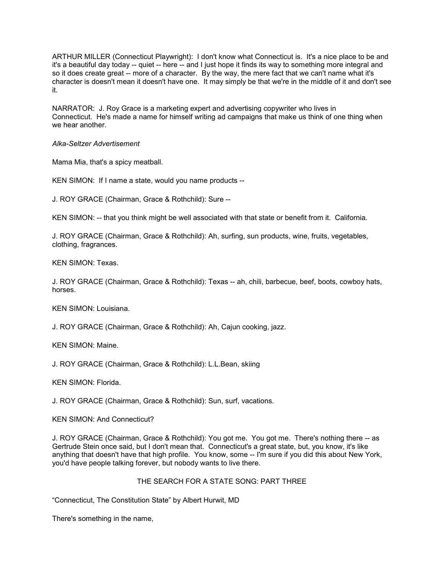ARTHUR MILLER (Connecticut Playwright): I don't know what Connecticut is. It's a nice place to be and it's a beautiful day today -- quiet -- here -- and I just hope it finds its way to something more integral and so it does create great -- more of a character. By the way, the mere fact that we can't name what it's character is doesn't mean it doesn't have one. It may simply be that we're in the middle of it and don't see it.

NARRATOR: J. Roy Grace is a marketing expert and advertising copywriter who lives in Connecticut. He's made a name for himself writing ad campaigns that make us think of one thing when we hear another.

*Alka-Seltzer Advertisement*

Mama Mia, that's a spicy meatball.

KEN SIMON: If I name a state, would you name products --

J. ROY GRACE (Chairman, Grace & Rothchild): Sure --

KEN SIMON: -- that you think might be well associated with that state or benefit from it. California.

J. ROY GRACE (Chairman, Grace & Rothchild): Ah, surfing, sun products, wine, fruits, vegetables, clothing, fragrances.

KEN SIMON: Texas.

J. ROY GRACE (Chairman, Grace & Rothchild): Texas -- ah, chili, barbecue, beef, boots, cowboy hats, horses.

KEN SIMON: Louisiana.

J. ROY GRACE (Chairman, Grace & Rothchild): Ah, Cajun cooking, jazz.

KEN SIMON: Maine.

J. ROY GRACE (Chairman, Grace & Rothchild): L.L.Bean, skiing

KEN SIMON: Florida.

J. ROY GRACE (Chairman, Grace & Rothchild): Sun, surf, vacations.

KEN SIMON: And Connecticut?

J. ROY GRACE (Chairman, Grace & Rothchild): You got me. You got me. There's nothing there -- as Gertrude Stein once said, but I don't mean that. Connecticut's a great state, but, you know, it's like anything that doesn't have that high profile. You know, some -- I'm sure if you did this about New York, you'd have people talking forever, but nobody wants to live there.

#### THE SEARCH FOR A STATE SONG: PART THREE

"Connecticut, The Constitution State" by Albert Hurwit, MD

There's something in the name,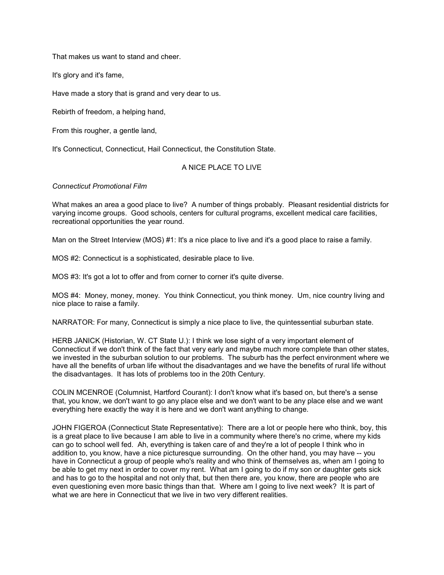That makes us want to stand and cheer.

It's glory and it's fame,

Have made a story that is grand and very dear to us.

Rebirth of freedom, a helping hand,

From this rougher, a gentle land,

It's Connecticut, Connecticut, Hail Connecticut, the Constitution State.

### A NICE PLACE TO LIVE

*Connecticut Promotional Film*

What makes an area a good place to live? A number of things probably. Pleasant residential districts for varying income groups. Good schools, centers for cultural programs, excellent medical care facilities, recreational opportunities the year round.

Man on the Street Interview (MOS) #1: It's a nice place to live and it's a good place to raise a family.

MOS #2: Connecticut is a sophisticated, desirable place to live.

MOS #3: It's got a lot to offer and from corner to corner it's quite diverse.

MOS #4: Money, money, money. You think Connecticut, you think money. Um, nice country living and nice place to raise a family.

NARRATOR: For many, Connecticut is simply a nice place to live, the quintessential suburban state.

HERB JANICK (Historian, W. CT State U.): I think we lose sight of a very important element of Connecticut if we don't think of the fact that very early and maybe much more complete than other states, we invested in the suburban solution to our problems. The suburb has the perfect environment where we have all the benefits of urban life without the disadvantages and we have the benefits of rural life without the disadvantages. It has lots of problems too in the 20th Century.

COLIN MCENROE (Columnist, Hartford Courant): I don't know what it's based on, but there's a sense that, you know, we don't want to go any place else and we don't want to be any place else and we want everything here exactly the way it is here and we don't want anything to change.

JOHN FIGEROA (Connecticut State Representative): There are a lot or people here who think, boy, this is a great place to live because I am able to live in a community where there's no crime, where my kids can go to school well fed. Ah, everything is taken care of and they're a lot of people I think who in addition to, you know, have a nice picturesque surrounding. On the other hand, you may have -- you have in Connecticut a group of people who's reality and who think of themselves as, when am I going to be able to get my next in order to cover my rent. What am I going to do if my son or daughter gets sick and has to go to the hospital and not only that, but then there are, you know, there are people who are even questioning even more basic things than that. Where am I going to live next week? It is part of what we are here in Connecticut that we live in two very different realities.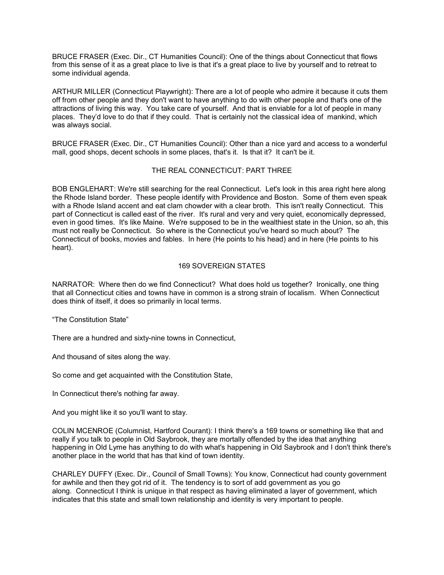BRUCE FRASER (Exec. Dir., CT Humanities Council): One of the things about Connecticut that flows from this sense of it as a great place to live is that it's a great place to live by yourself and to retreat to some individual agenda.

ARTHUR MILLER (Connecticut Playwright): There are a lot of people who admire it because it cuts them off from other people and they don't want to have anything to do with other people and that's one of the attractions of living this way. You take care of yourself. And that is enviable for a lot of people in many places. They'd love to do that if they could. That is certainly not the classical idea of mankind, which was always social.

BRUCE FRASER (Exec. Dir., CT Humanities Council): Other than a nice yard and access to a wonderful mall, good shops, decent schools in some places, that's it. Is that it? It can't be it.

#### THE REAL CONNECTICUT: PART THREE

BOB ENGLEHART: We're still searching for the real Connecticut. Let's look in this area right here along the Rhode Island border. These people identify with Providence and Boston. Some of them even speak with a Rhode Island accent and eat clam chowder with a clear broth. This isn't really Connecticut. This part of Connecticut is called east of the river. It's rural and very and very quiet, economically depressed, even in good times. It's like Maine. We're supposed to be in the wealthiest state in the Union, so ah, this must not really be Connecticut. So where is the Connecticut you've heard so much about? The Connecticut of books, movies and fables. In here (He points to his head) and in here (He points to his heart).

#### 169 SOVEREIGN STATES

NARRATOR: Where then do we find Connecticut? What does hold us together? Ironically, one thing that all Connecticut cities and towns have in common is a strong strain of localism. When Connecticut does think of itself, it does so primarily in local terms.

"The Constitution State"

There are a hundred and sixty-nine towns in Connecticut,

And thousand of sites along the way.

So come and get acquainted with the Constitution State,

In Connecticut there's nothing far away.

And you might like it so you'll want to stay.

COLIN MCENROE (Columnist, Hartford Courant): I think there's a 169 towns or something like that and really if you talk to people in Old Saybrook, they are mortally offended by the idea that anything happening in Old Lyme has anything to do with what's happening in Old Saybrook and I don't think there's another place in the world that has that kind of town identity.

CHARLEY DUFFY (Exec. Dir., Council of Small Towns): You know, Connecticut had county government for awhile and then they got rid of it. The tendency is to sort of add government as you go along. Connecticut I think is unique in that respect as having eliminated a layer of government, which indicates that this state and small town relationship and identity is very important to people.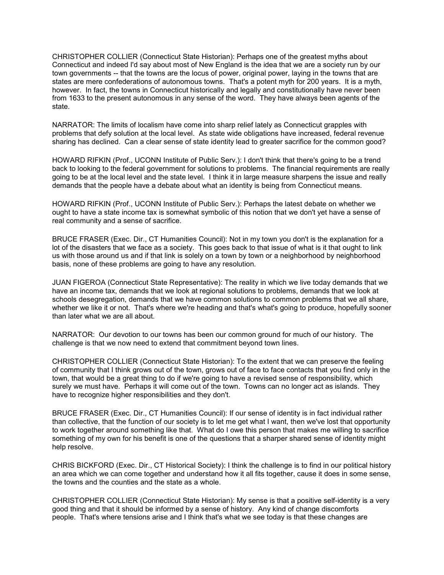CHRISTOPHER COLLIER (Connecticut State Historian): Perhaps one of the greatest myths about Connecticut and indeed I'd say about most of New England is the idea that we are a society run by our town governments -- that the towns are the locus of power, original power, laying in the towns that are states are mere confederations of autonomous towns. That's a potent myth for 200 years. It is a myth, however. In fact, the towns in Connecticut historically and legally and constitutionally have never been from 1633 to the present autonomous in any sense of the word. They have always been agents of the state.

NARRATOR: The limits of localism have come into sharp relief lately as Connecticut grapples with problems that defy solution at the local level. As state wide obligations have increased, federal revenue sharing has declined. Can a clear sense of state identity lead to greater sacrifice for the common good?

HOWARD RIFKIN (Prof., UCONN Institute of Public Serv.): I don't think that there's going to be a trend back to looking to the federal government for solutions to problems. The financial requirements are really going to be at the local level and the state level. I think it in large measure sharpens the issue and really demands that the people have a debate about what an identity is being from Connecticut means.

HOWARD RIFKIN (Prof., UCONN Institute of Public Serv.): Perhaps the latest debate on whether we ought to have a state income tax is somewhat symbolic of this notion that we don't yet have a sense of real community and a sense of sacrifice.

BRUCE FRASER (Exec. Dir., CT Humanities Council): Not in my town you don't is the explanation for a lot of the disasters that we face as a society. This goes back to that issue of what is it that ought to link us with those around us and if that link is solely on a town by town or a neighborhood by neighborhood basis, none of these problems are going to have any resolution.

JUAN FIGEROA (Connecticut State Representative): The reality in which we live today demands that we have an income tax, demands that we look at regional solutions to problems, demands that we look at schools desegregation, demands that we have common solutions to common problems that we all share, whether we like it or not. That's where we're heading and that's what's going to produce, hopefully sooner than later what we are all about.

NARRATOR: Our devotion to our towns has been our common ground for much of our history. The challenge is that we now need to extend that commitment beyond town lines.

CHRISTOPHER COLLIER (Connecticut State Historian): To the extent that we can preserve the feeling of community that I think grows out of the town, grows out of face to face contacts that you find only in the town, that would be a great thing to do if we're going to have a revised sense of responsibility, which surely we must have. Perhaps it will come out of the town. Towns can no longer act as islands. They have to recognize higher responsibilities and they don't.

BRUCE FRASER (Exec. Dir., CT Humanities Council): If our sense of identity is in fact individual rather than collective, that the function of our society is to let me get what I want, then we've lost that opportunity to work together around something like that. What do I owe this person that makes me willing to sacrifice something of my own for his benefit is one of the questions that a sharper shared sense of identity might help resolve.

CHRIS BICKFORD (Exec. Dir., CT Historical Society): I think the challenge is to find in our political history an area which we can come together and understand how it all fits together, cause it does in some sense, the towns and the counties and the state as a whole.

CHRISTOPHER COLLIER (Connecticut State Historian): My sense is that a positive self-identity is a very good thing and that it should be informed by a sense of history. Any kind of change discomforts people. That's where tensions arise and I think that's what we see today is that these changes are